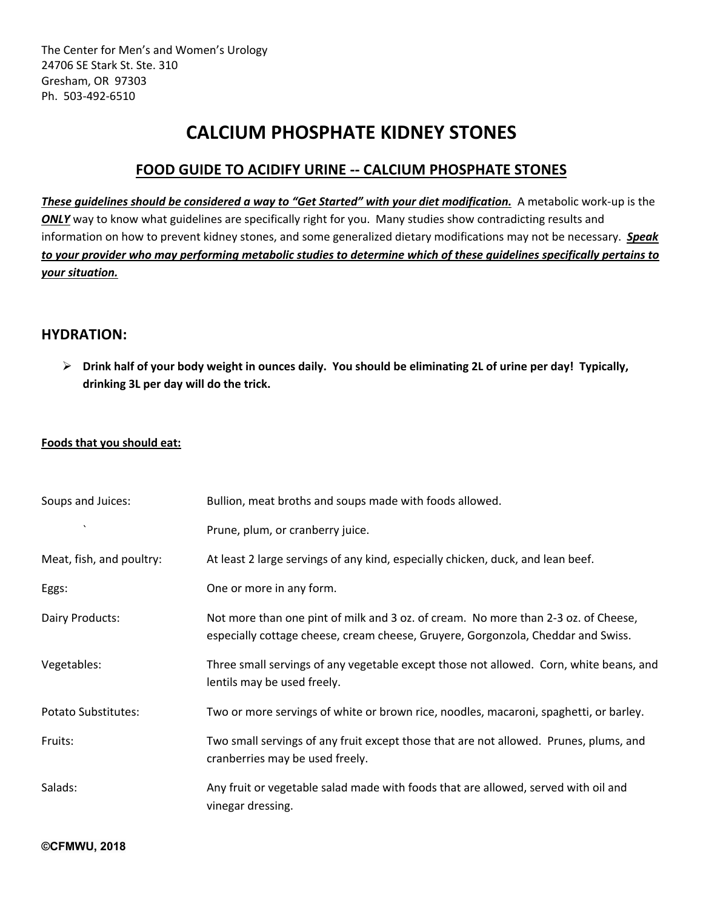# **CALCIUM PHOSPHATE KIDNEY STONES**

# **FOOD GUIDE TO ACIDIFY URINE -- CALCIUM PHOSPHATE STONES**

*These guidelines should be considered a way to "Get Started" with your diet modification.* A metabolic work-up is the **ONLY** way to know what guidelines are specifically right for you. Many studies show contradicting results and information on how to prevent kidney stones, and some generalized dietary modifications may not be necessary. *Speak to your provider who may performing metabolic studies to determine which of these guidelines specifically pertains to your situation.*

### **HYDRATION:**

Ø **Drink half of your body weight in ounces daily. You should be eliminating 2L of urine per day! Typically, drinking 3L per day will do the trick.**

#### **Foods that you should eat:**

| Bullion, meat broths and soups made with foods allowed.                                                                                                                |
|------------------------------------------------------------------------------------------------------------------------------------------------------------------------|
| Prune, plum, or cranberry juice.                                                                                                                                       |
| At least 2 large servings of any kind, especially chicken, duck, and lean beef.                                                                                        |
| One or more in any form.                                                                                                                                               |
| Not more than one pint of milk and 3 oz. of cream. No more than 2-3 oz. of Cheese,<br>especially cottage cheese, cream cheese, Gruyere, Gorgonzola, Cheddar and Swiss. |
| Three small servings of any vegetable except those not allowed. Corn, white beans, and<br>lentils may be used freely.                                                  |
| Two or more servings of white or brown rice, noodles, macaroni, spaghetti, or barley.                                                                                  |
| Two small servings of any fruit except those that are not allowed. Prunes, plums, and<br>cranberries may be used freely.                                               |
| Any fruit or vegetable salad made with foods that are allowed, served with oil and<br>vinegar dressing.                                                                |
|                                                                                                                                                                        |